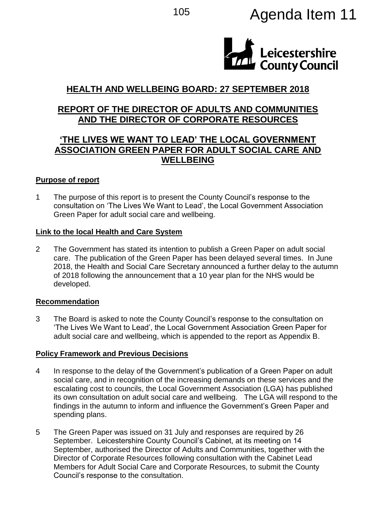

# **HEALTH AND WELLBEING BOARD: 27 SEPTEMBER 2018**

## **REPORT OF THE DIRECTOR OF ADULTS AND COMMUNITIES AND THE DIRECTOR OF CORPORATE RESOURCES**

## **'THE LIVES WE WANT TO LEAD' THE LOCAL GOVERNMENT ASSOCIATION GREEN PAPER FOR ADULT SOCIAL CARE AND WELLBEING**

### **Purpose of report**

1 The purpose of this report is to present the County Council's response to the consultation on 'The Lives We Want to Lead', the Local Government Association Green Paper for adult social care and wellbeing.

#### **Link to the local Health and Care System**

2 The Government has stated its intention to publish a Green Paper on adult social care. The publication of the Green Paper has been delayed several times. In June 2018, the Health and Social Care Secretary announced a further delay to the autumn of 2018 following the announcement that a 10 year plan for the NHS would be developed.

### **Recommendation**

3 The Board is asked to note the County Council's response to the consultation on 'The Lives We Want to Lead', the Local Government Association Green Paper for adult social care and wellbeing, which is appended to the report as Appendix B.

#### **Policy Framework and Previous Decisions**

- 4 In response to the delay of the Government's publication of a Green Paper on adult social care, and in recognition of the increasing demands on these services and the escalating cost to councils, the Local Government Association (LGA) has published its own consultation on adult social care and wellbeing. The LGA will respond to the findings in the autumn to inform and influence the Government's Green Paper and spending plans.
- 5 The Green Paper was issued on 31 July and responses are required by 26 September. Leicestershire County Council's Cabinet, at its meeting on 14 September, authorised the Director of Adults and Communities, together with the Director of Corporate Resources following consultation with the Cabinet Lead Members for Adult Social Care and Corporate Resources, to submit the County Council's response to the consultation.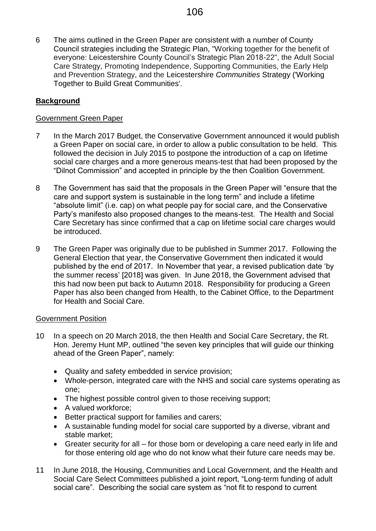6 The aims outlined in the Green Paper are consistent with a number of County Council strategies including the Strategic Plan, "Working together for the benefit of everyone: Leicestershire County Council's Strategic Plan 2018-22", the Adult Social Care Strategy, Promoting Independence, Supporting Communities, the Early Help and Prevention Strategy, and the Leicestershire *Communities* Strategy ('Working Together to Build Great Communities'.

## **Background**

#### Government Green Paper

- 7 In the March 2017 Budget, the Conservative Government announced it would publish a Green Paper on social care, in order to allow a public consultation to be held. This followed the decision in July 2015 to postpone the introduction of a cap on lifetime social care charges and a more generous means-test that had been proposed by the "Dilnot Commission" and accepted in principle by the then Coalition Government.
- 8 The Government has said that the proposals in the Green Paper will "ensure that the care and support system is sustainable in the long term" and include a lifetime "absolute limit" (i.e. cap) on what people pay for social care, and the Conservative Party's manifesto also proposed changes to the means-test. The Health and Social Care Secretary has since confirmed that a cap on lifetime social care charges would be introduced.
- 9 The Green Paper was originally due to be published in Summer 2017. Following the General Election that year, the Conservative Government then indicated it would published by the end of 2017. In November that year, a revised publication date 'by the summer recess' [2018] was given. In June 2018, the Government advised that this had now been put back to Autumn 2018. Responsibility for producing a Green Paper has also been changed from Health, to the Cabinet Office, to the Department for Health and Social Care.

#### Government Position

- 10 In a speech on 20 March 2018, the then Health and Social Care Secretary, the Rt. Hon. Jeremy Hunt MP, outlined "the seven key principles that will guide our thinking ahead of the Green Paper", namely:
	- Quality and safety embedded in service provision;
	- Whole-person, integrated care with the NHS and social care systems operating as one;
	- The highest possible control given to those receiving support:
	- A valued workforce;
	- Better practical support for families and carers;
	- A sustainable funding model for social care supported by a diverse, vibrant and stable market;
	- Greater security for all for those born or developing a care need early in life and for those entering old age who do not know what their future care needs may be.
- 11 In June 2018, the Housing, Communities and Local Government, and the Health and Social Care Select Committees published a joint report, "Long-term funding of adult social care". Describing the social care system as "not fit to respond to current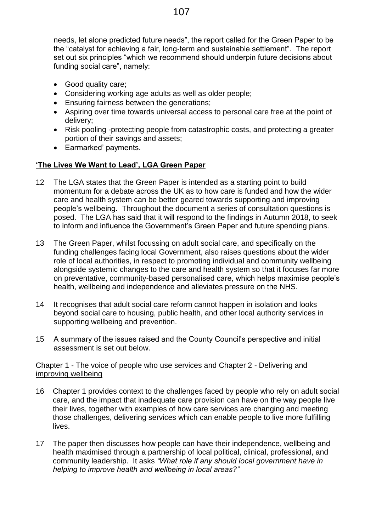needs, let alone predicted future needs", the report called for the Green Paper to be the "catalyst for achieving a fair, long-term and sustainable settlement". The report set out six principles "which we recommend should underpin future decisions about funding social care", namely:

- Good quality care;
- Considering working age adults as well as older people;
- **Ensuring fairness between the generations;**
- Aspiring over time towards universal access to personal care free at the point of delivery;
- Risk pooling -protecting people from catastrophic costs, and protecting a greater portion of their savings and assets;
- Earmarked' payments.

## **'The Lives We Want to Lead', LGA Green Paper**

- 12 The LGA states that the Green Paper is intended as a starting point to build momentum for a debate across the UK as to how care is funded and how the wider care and health system can be better geared towards supporting and improving people's wellbeing. Throughout the document a series of consultation questions is posed. The LGA has said that it will respond to the findings in Autumn 2018, to seek to inform and influence the Government's Green Paper and future spending plans.
- 13 The Green Paper, whilst focussing on adult social care, and specifically on the funding challenges facing local Government, also raises questions about the wider role of local authorities, in respect to promoting individual and community wellbeing alongside systemic changes to the care and health system so that it focuses far more on preventative, community-based personalised care, which helps maximise people's health, wellbeing and independence and alleviates pressure on the NHS.
- 14 It recognises that adult social care reform cannot happen in isolation and looks beyond social care to housing, public health, and other local authority services in supporting wellbeing and prevention.
- 15 A summary of the issues raised and the County Council's perspective and initial assessment is set out below.

#### Chapter 1 - The voice of people who use services and Chapter 2 - Delivering and improving wellbeing

- 16 Chapter 1 provides context to the challenges faced by people who rely on adult social care, and the impact that inadequate care provision can have on the way people live their lives, together with examples of how care services are changing and meeting those challenges, delivering services which can enable people to live more fulfilling lives.
- 17 The paper then discusses how people can have their independence, wellbeing and health maximised through a partnership of local political, clinical, professional, and community leadership. It asks *"What role if any should local government have in helping to improve health and wellbeing in local areas?"*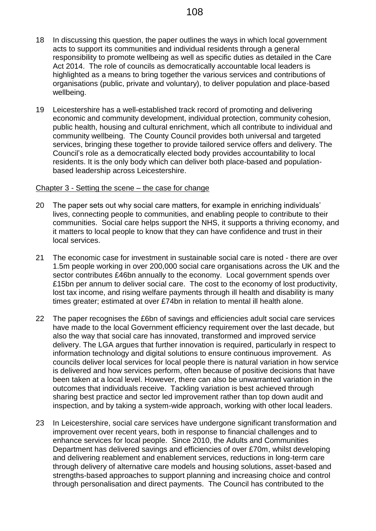- 18 In discussing this question, the paper outlines the ways in which local government acts to support its communities and individual residents through a general responsibility to promote wellbeing as well as specific duties as detailed in the Care Act 2014. The role of councils as democratically accountable local leaders is highlighted as a means to bring together the various services and contributions of organisations (public, private and voluntary), to deliver population and place-based wellbeing.
- 19 Leicestershire has a well-established track record of promoting and delivering economic and community development, individual protection, community cohesion, public health, housing and cultural enrichment, which all contribute to individual and community wellbeing. The County Council provides both universal and targeted services, bringing these together to provide tailored service offers and delivery. The Council's role as a democratically elected body provides accountability to local residents. It is the only body which can deliver both place-based and populationbased leadership across Leicestershire.

#### Chapter 3 - Setting the scene – the case for change

- 20 The paper sets out why social care matters, for example in enriching individuals' lives, connecting people to communities, and enabling people to contribute to their communities. Social care helps support the NHS, it supports a thriving economy, and it matters to local people to know that they can have confidence and trust in their local services.
- 21 The economic case for investment in sustainable social care is noted there are over 1.5m people working in over 200,000 social care organisations across the UK and the sector contributes £46bn annually to the economy. Local government spends over £15bn per annum to deliver social care. The cost to the economy of lost productivity, lost tax income, and rising welfare payments through ill health and disability is many times greater; estimated at over £74bn in relation to mental ill health alone.
- 22 The paper recognises the £6bn of savings and efficiencies adult social care services have made to the local Government efficiency requirement over the last decade, but also the way that social care has innovated, transformed and improved service delivery. The LGA argues that further innovation is required, particularly in respect to information technology and digital solutions to ensure continuous improvement. As councils deliver local services for local people there is natural variation in how service is delivered and how services perform, often because of positive decisions that have been taken at a local level. However, there can also be unwarranted variation in the outcomes that individuals receive. Tackling variation is best achieved through sharing best practice and sector led improvement rather than top down audit and inspection, and by taking a system-wide approach, working with other local leaders.
- 23 In Leicestershire, social care services have undergone significant transformation and improvement over recent years, both in response to financial challenges and to enhance services for local people. Since 2010, the Adults and Communities Department has delivered savings and efficiencies of over £70m, whilst developing and delivering reablement and enablement services, reductions in long-term care through delivery of alternative care models and housing solutions, asset-based and strengths-based approaches to support planning and increasing choice and control through personalisation and direct payments. The Council has contributed to the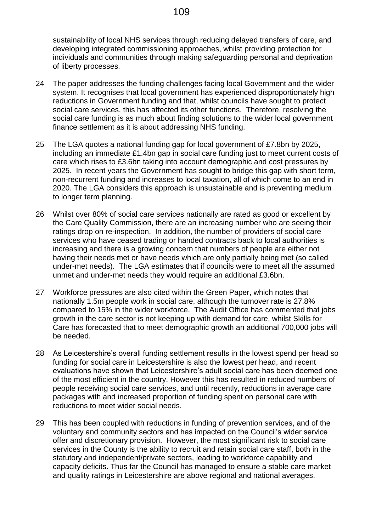sustainability of local NHS services through reducing delayed transfers of care, and developing integrated commissioning approaches, whilst providing protection for individuals and communities through making safeguarding personal and deprivation of liberty processes.

- 24 The paper addresses the funding challenges facing local Government and the wider system. It recognises that local government has experienced disproportionately high reductions in Government funding and that, whilst councils have sought to protect social care services, this has affected its other functions. Therefore, resolving the social care funding is as much about finding solutions to the wider local government finance settlement as it is about addressing NHS funding.
- 25 The LGA quotes a national funding gap for local government of £7.8bn by 2025, including an immediate £1.4bn gap in social care funding just to meet current costs of care which rises to £3.6bn taking into account demographic and cost pressures by 2025. In recent years the Government has sought to bridge this gap with short term, non-recurrent funding and increases to local taxation, all of which come to an end in 2020. The LGA considers this approach is unsustainable and is preventing medium to longer term planning.
- 26 Whilst over 80% of social care services nationally are rated as good or excellent by the Care Quality Commission, there are an increasing number who are seeing their ratings drop on re-inspection. In addition, the number of providers of social care services who have ceased trading or handed contracts back to local authorities is increasing and there is a growing concern that numbers of people are either not having their needs met or have needs which are only partially being met (so called under-met needs). The LGA estimates that if councils were to meet all the assumed unmet and under-met needs they would require an additional £3.6bn.
- 27 Workforce pressures are also cited within the Green Paper, which notes that nationally 1.5m people work in social care, although the turnover rate is 27.8% compared to 15% in the wider workforce. The Audit Office has commented that jobs growth in the care sector is not keeping up with demand for care, whilst Skills for Care has forecasted that to meet demographic growth an additional 700,000 jobs will be needed.
- 28 As Leicestershire's overall funding settlement results in the lowest spend per head so funding for social care in Leicestershire is also the lowest per head, and recent evaluations have shown that Leicestershire's adult social care has been deemed one of the most efficient in the country. However this has resulted in reduced numbers of people receiving social care services, and until recently, reductions in average care packages with and increased proportion of funding spent on personal care with reductions to meet wider social needs.
- 29 This has been coupled with reductions in funding of prevention services, and of the voluntary and community sectors and has impacted on the Council's wider service offer and discretionary provision. However, the most significant risk to social care services in the County is the ability to recruit and retain social care staff, both in the statutory and independent/private sectors, leading to workforce capability and capacity deficits. Thus far the Council has managed to ensure a stable care market and quality ratings in Leicestershire are above regional and national averages.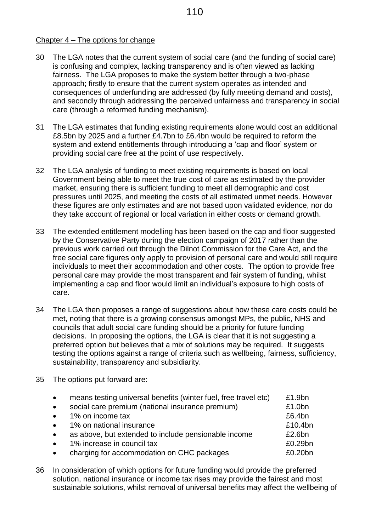### Chapter 4 – The options for change

- 30 The LGA notes that the current system of social care (and the funding of social care) is confusing and complex, lacking transparency and is often viewed as lacking fairness. The LGA proposes to make the system better through a two-phase approach; firstly to ensure that the current system operates as intended and consequences of underfunding are addressed (by fully meeting demand and costs), and secondly through addressing the perceived unfairness and transparency in social care (through a reformed funding mechanism).
- 31 The LGA estimates that funding existing requirements alone would cost an additional £8.5bn by 2025 and a further £4.7bn to £6.4bn would be required to reform the system and extend entitlements through introducing a 'cap and floor' system or providing social care free at the point of use respectively.
- 32 The LGA analysis of funding to meet existing requirements is based on local Government being able to meet the true cost of care as estimated by the provider market, ensuring there is sufficient funding to meet all demographic and cost pressures until 2025, and meeting the costs of all estimated unmet needs. However these figures are only estimates and are not based upon validated evidence, nor do they take account of regional or local variation in either costs or demand growth.
- 33 The extended entitlement modelling has been based on the cap and floor suggested by the Conservative Party during the election campaign of 2017 rather than the previous work carried out through the Dilnot Commission for the Care Act, and the free social care figures only apply to provision of personal care and would still require individuals to meet their accommodation and other costs. The option to provide free personal care may provide the most transparent and fair system of funding, whilst implementing a cap and floor would limit an individual's exposure to high costs of care.
- 34 The LGA then proposes a range of suggestions about how these care costs could be met, noting that there is a growing consensus amongst MPs, the public, NHS and councils that adult social care funding should be a priority for future funding decisions. In proposing the options, the LGA is clear that it is not suggesting a preferred option but believes that a mix of solutions may be required. It suggests testing the options against a range of criteria such as wellbeing, fairness, sufficiency, sustainability, transparency and subsidiarity.
- 35 The options put forward are:

| $\bullet$ | means testing universal benefits (winter fuel, free travel etc) | £1.9bn  |
|-----------|-----------------------------------------------------------------|---------|
| $\bullet$ | social care premium (national insurance premium)                | £1.0bn  |
| $\bullet$ | 1% on income tax                                                | £6.4bn  |
| $\bullet$ | 1% on national insurance                                        | £10.4bn |
| $\bullet$ | as above, but extended to include pensionable income            | £2.6bn  |
| $\bullet$ | 1% increase in council tax                                      | £0.29bn |
| $\bullet$ | charging for accommodation on CHC packages                      | £0.20bn |

36 In consideration of which options for future funding would provide the preferred solution, national insurance or income tax rises may provide the fairest and most sustainable solutions, whilst removal of universal benefits may affect the wellbeing of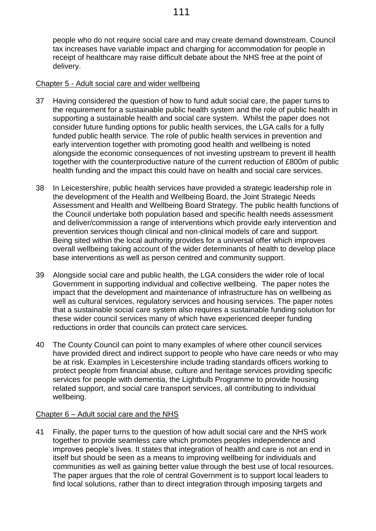people who do not require social care and may create demand downstream. Council tax increases have variable impact and charging for accommodation for people in receipt of healthcare may raise difficult debate about the NHS free at the point of delivery.

### Chapter 5 - Adult social care and wider wellbeing

- 37 Having considered the question of how to fund adult social care, the paper turns to the requirement for a sustainable public health system and the role of public health in supporting a sustainable health and social care system. Whilst the paper does not consider future funding options for public health services, the LGA calls for a fully funded public health service. The role of public health services in prevention and early intervention together with promoting good health and wellbeing is noted alongside the economic consequences of not investing upstream to prevent ill health together with the counterproductive nature of the current reduction of £800m of public health funding and the impact this could have on health and social care services.
- 38 In Leicestershire, public health services have provided a strategic leadership role in the development of the Health and Wellbeing Board, the Joint Strategic Needs Assessment and Health and Wellbeing Board Strategy. The public health functions of the Council undertake both population based and specific health needs assessment and deliver/commission a range of interventions which provide early intervention and prevention services though clinical and non-clinical models of care and support. Being sited within the local authority provides for a universal offer which improves overall wellbeing taking account of the wider determinants of health to develop place base interventions as well as person centred and community support.
- 39 Alongside social care and public health, the LGA considers the wider role of local Government in supporting individual and collective wellbeing. The paper notes the impact that the development and maintenance of infrastructure has on wellbeing as well as cultural services, regulatory services and housing services. The paper notes that a sustainable social care system also requires a sustainable funding solution for these wider council services many of which have experienced deeper funding reductions in order that councils can protect care services.
- 40 The County Council can point to many examples of where other council services have provided direct and indirect support to people who have care needs or who may be at risk. Examples in Leicestershire include trading standards officers working to protect people from financial abuse, culture and heritage services providing specific services for people with dementia, the Lightbulb Programme to provide housing related support, and social care transport services, all contributing to individual wellbeing.

## Chapter 6 – Adult social care and the NHS

41 Finally, the paper turns to the question of how adult social care and the NHS work together to provide seamless care which promotes peoples independence and improves people's lives. It states that integration of health and care is not an end in itself but should be seen as a means to improving wellbeing for individuals and communities as well as gaining better value through the best use of local resources. The paper argues that the role of central Government is to support local leaders to find local solutions, rather than to direct integration through imposing targets and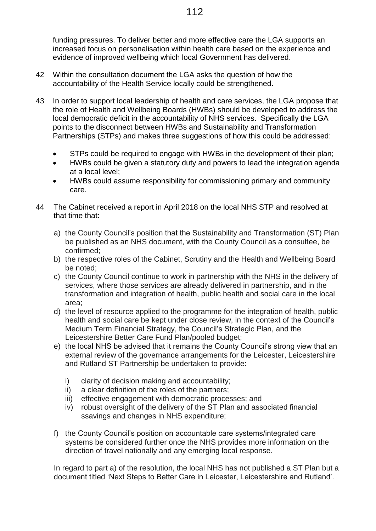funding pressures. To deliver better and more effective care the LGA supports an increased focus on personalisation within health care based on the experience and evidence of improved wellbeing which local Government has delivered.

- 42 Within the consultation document the LGA asks the question of how the accountability of the Health Service locally could be strengthened.
- 43 In order to support local leadership of health and care services, the LGA propose that the role of Health and Wellbeing Boards (HWBs) should be developed to address the local democratic deficit in the accountability of NHS services. Specifically the LGA points to the disconnect between HWBs and Sustainability and Transformation Partnerships (STPs) and makes three suggestions of how this could be addressed:
	- STPs could be required to engage with HWBs in the development of their plan;
	- HWBs could be given a statutory duty and powers to lead the integration agenda at a local level;
	- HWBs could assume responsibility for commissioning primary and community care.
- 44 The Cabinet received a report in April 2018 on the local NHS STP and resolved at that time that:
	- a) the County Council's position that the Sustainability and Transformation (ST) Plan be published as an NHS document, with the County Council as a consultee, be confirmed;
	- b) the respective roles of the Cabinet, Scrutiny and the Health and Wellbeing Board be noted;
	- c) the County Council continue to work in partnership with the NHS in the delivery of services, where those services are already delivered in partnership, and in the transformation and integration of health, public health and social care in the local area;
	- d) the level of resource applied to the programme for the integration of health, public health and social care be kept under close review, in the context of the Council's Medium Term Financial Strategy, the Council's Strategic Plan, and the Leicestershire Better Care Fund Plan/pooled budget;
	- e) the local NHS be advised that it remains the County Council's strong view that an external review of the governance arrangements for the Leicester, Leicestershire and Rutland ST Partnership be undertaken to provide:
		- i) clarity of decision making and accountability;
		- ii) a clear definition of the roles of the partners;
		- iii) effective engagement with democratic processes; and
		- iv) robust oversight of the delivery of the ST Plan and associated financial ssavings and changes in NHS expenditure;
	- f) the County Council's position on accountable care systems/integrated care systems be considered further once the NHS provides more information on the direction of travel nationally and any emerging local response.

In regard to part a) of the resolution, the local NHS has not published a ST Plan but a document titled 'Next Steps to Better Care in Leicester, Leicestershire and Rutland'.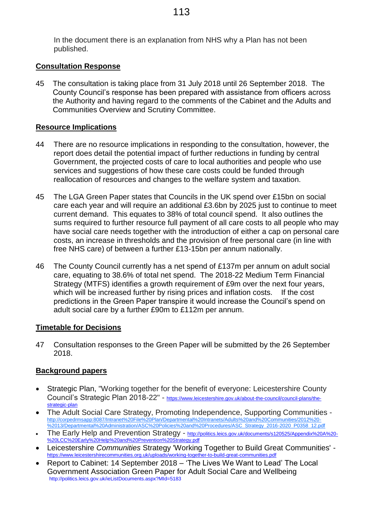#### **Consultation Response**

45 The consultation is taking place from 31 July 2018 until 26 September 2018. The County Council's response has been prepared with assistance from officers across the Authority and having regard to the comments of the Cabinet and the Adults and Communities Overview and Scrutiny Committee.

### **Resource Implications**

- 44 There are no resource implications in responding to the consultation, however, the report does detail the potential impact of further reductions in funding by central Government, the projected costs of care to local authorities and people who use services and suggestions of how these care costs could be funded through reallocation of resources and changes to the welfare system and taxation.
- 45 The LGA Green Paper states that Councils in the UK spend over £15bn on social care each year and will require an additional £3.6bn by 2025 just to continue to meet current demand. This equates to 38% of total council spend. It also outlines the sums required to further resource full payment of all care costs to all people who may have social care needs together with the introduction of either a cap on personal care costs, an increase in thresholds and the provision of free personal care (in line with free NHS care) of between a further £13-15bn per annum nationally.
- 46 The County Council currently has a net spend of £137m per annum on adult social care, equating to 38.6% of total net spend. The 2018-22 Medium Term Financial Strategy (MTFS) identifies a growth requirement of £9m over the next four years, which will be increased further by rising prices and inflation costs. If the cost predictions in the Green Paper transpire it would increase the Council's spend on adult social care by a further £90m to £112m per annum.

#### **Timetable for Decisions**

47 Consultation responses to the Green Paper will be submitted by the 26 September 2018.

## **Background papers**

- Strategic Plan, "Working together for the benefit of everyone: Leicestershire County Council's Strategic Plan 2018-22" - [https://www.leicestershire.gov.uk/about-the-council/council-plans/the](https://www.leicestershire.gov.uk/about-the-council/council-plans/the-strategic-plan)[strategic-plan](https://www.leicestershire.gov.uk/about-the-council/council-plans/the-strategic-plan)
- The Adult Social Care Strategy, Promoting Independence, Supporting Communities [http://corpedrmsapp:8087/Intranet%20File%20Plan/Departmental%20Intranets/Adults%20and%20Communities/2012%20-](http://corpedrmsapp:8087/Intranet%20File%20Plan/Departmental%20Intranets/Adults%20and%20Communities/2012%20-%2013/Departmental%20Administration/ASC%20Policies%20and%20Procedures/ASC_Strategy_2016-2020_P0358_12.pdf) [%2013/Departmental%20Administration/ASC%20Policies%20and%20Procedures/ASC\\_Strategy\\_2016-2020\\_P0358\\_12.pdf](http://corpedrmsapp:8087/Intranet%20File%20Plan/Departmental%20Intranets/Adults%20and%20Communities/2012%20-%2013/Departmental%20Administration/ASC%20Policies%20and%20Procedures/ASC_Strategy_2016-2020_P0358_12.pdf)
- The Early Help and Prevention Strategy [http://politics.leics.gov.uk/documents/s120525/Appendix%20A%20-](http://politics.leics.gov.uk/documents/s120525/Appendix%20A%20-%20LCC%20Early%20Help%20and%20Prevention%20Strategy.pdf) [%20LCC%20Early%20Help%20and%20Prevention%20Strategy.pdf](http://politics.leics.gov.uk/documents/s120525/Appendix%20A%20-%20LCC%20Early%20Help%20and%20Prevention%20Strategy.pdf)
- Leicestershire *Communities* Strategy 'Working Together to Build Great Communities' <https://www.leicestershirecommunities.org.uk/uploads/working-together-to-build-great-communities.pdf>
- Report to Cabinet: 14 September 2018 'The Lives We Want to Lead' The Local Government Association Green Paper for Adult Social Care and Wellbeing <http://politics.leics.gov.uk/ieListDocuments.aspx?MId=5183>